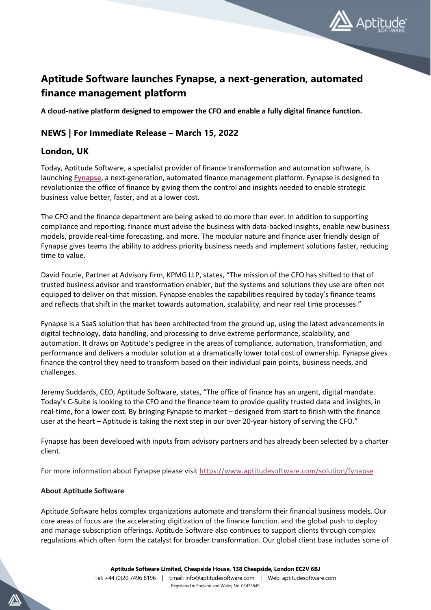

## **Aptitude Software launches Fynapse, a next-generation, automated finance management platform**

**A cloud-native platform designed to empower the CFO and enable a fully digital finance function.**

## **NEWS | For Immediate Release – March 15, 2022**

## **London, UK**

Today, Aptitude Software, a specialist provider of finance transformation and automation software, is launching **[Fynapse](https://www.aptitudesoftware.com/solution/fynapse)**, a next-generation, automated finance management platform. Fynapse is designed to revolutionize the office of finance by giving them the control and insights needed to enable strategic business value better, faster, and at a lower cost.

The CFO and the finance department are being asked to do more than ever. In addition to supporting compliance and reporting, finance must advise the business with data-backed insights, enable new business models, provide real-time forecasting, and more. The modular nature and finance user friendly design of Fynapse gives teams the ability to address priority business needs and implement solutions faster, reducing time to value.

David Fourie, Partner at Advisory firm, KPMG LLP, states, "The mission of the CFO has shifted to that of trusted business advisor and transformation enabler, but the systems and solutions they use are often not equipped to deliver on that mission. Fynapse enables the capabilities required by today's finance teams and reflects that shift in the market towards automation, scalability, and near real time processes."

Fynapse is a SaaS solution that has been architected from the ground up, using the latest advancements in digital technology, data handling, and processing to drive extreme performance, scalability, and automation. It draws on Aptitude's pedigree in the areas of compliance, automation, transformation, and performance and delivers a modular solution at a dramatically lower total cost of ownership. Fynapse gives finance the control they need to transform based on their individual pain points, business needs, and challenges.

Jeremy Suddards, CEO, Aptitude Software, states, "The office of finance has an urgent, digital mandate. Today's C-Suite is looking to the CFO and the finance team to provide quality trusted data and insights, in real-time, for a lower cost. By bringing Fynapse to market – designed from start to finish with the finance user at the heart – Aptitude is taking the next step in our over 20-year history of serving the CFO."

Fynapse has been developed with inputs from advisory partners and has already been selected by a charter client.

For more information about Fynapse please visi[t https://www.aptitudesoftware.com/solution/fynapse](https://www.aptitudesoftware.com/solution/fynapse)

## **About Aptitude Software**

Aptitude Software helps complex organizations automate and transform their financial business models. Our core areas of focus are the accelerating digitization of the finance function, and the global push to deploy and manage subscription offerings. Aptitude Software also continues to support clients through complex regulations which often form the catalyst for broader transformation. Our global client base includes some of

**Aptitude Software Limited, Cheapside House, 138 Cheapside, London EC2V 6BJ**